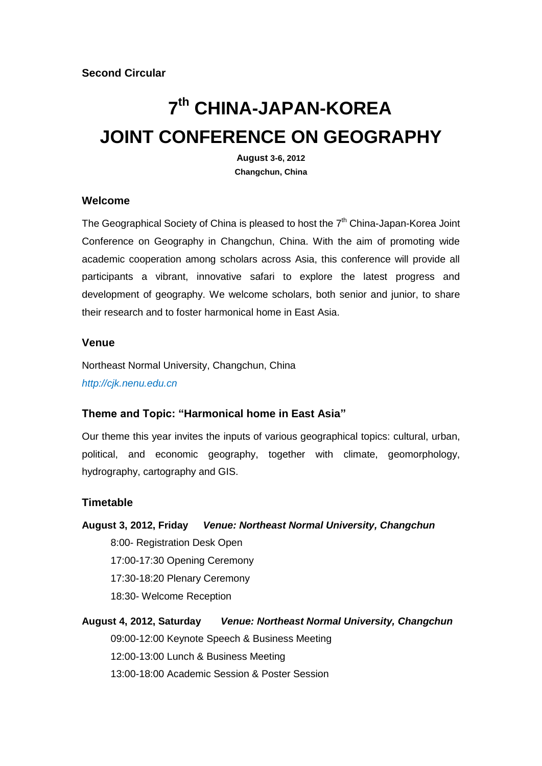# **7 th CHINA-JAPAN-KOREA JOINT CONFERENCE ON GEOGRAPHY**

**August 3-6, 2012 Changchun, China**

#### **Welcome**

The Geographical Society of China is pleased to host the  $7<sup>th</sup>$  China-Japan-Korea Joint Conference on Geography in Changchun, China. With the aim of promoting wide academic cooperation among scholars across Asia, this conference will provide all participants a vibrant, innovative safari to explore the latest progress and development of geography. We welcome scholars, both senior and junior, to share their research and to foster harmonical home in East Asia.

#### **Venue**

Northeast Normal University, Changchun, China *[http://cjk.nenu.edu.cn](http://cjk.nenu.edu.cn/)*

#### **Theme and Topic: "Harmonical home in East Asia"**

Our theme this year invites the inputs of various geographical topics: cultural, urban, political, and economic geography, together with climate, geomorphology, hydrography, cartography and GIS.

#### **Timetable**

**August 3, 2012, Friday** *Venue: Northeast Normal University, Changchun* 8:00- Registration Desk Open 17:00-17:30 Opening Ceremony 17:30-18:20 Plenary Ceremony 18:30- Welcome Reception **August 4, 2012, Saturday** *Venue: Northeast Normal University, Changchun* 09:00-12:00 Keynote Speech & Business Meeting

12:00-13:00 Lunch & Business Meeting

13:00-18:00 Academic Session & Poster Session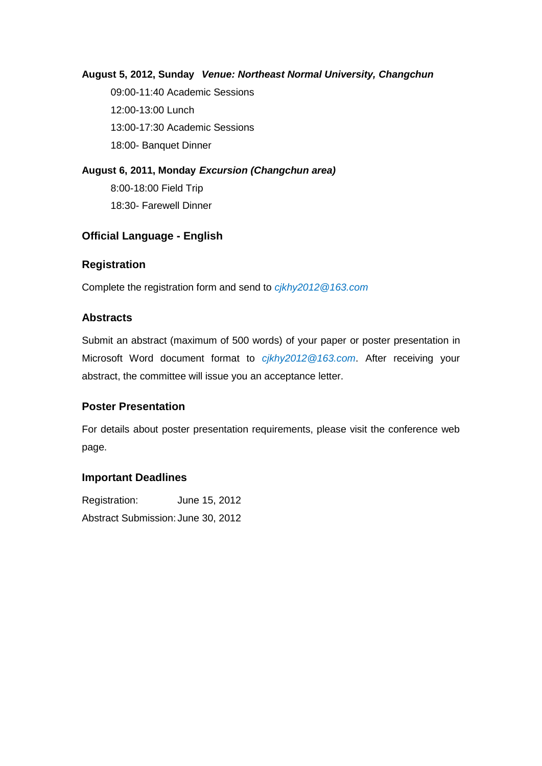#### **August 5, 2012, Sunday** *Venue: Northeast Normal University, Changchun*

09:00-11:40 Academic Sessions 12:00-13:00 Lunch 13:00-17:30 Academic Sessions 18:00- Banquet Dinner

**August 6, 2011, Monday** *Excursion (Changchun area)* 8:00-18:00 Field Trip 18:30- Farewell Dinner

#### **Official Language - English**

#### **Registration**

Complete the registration form and send to *cjkhy2012@163.com*

#### **Abstracts**

Submit an abstract (maximum of 500 words) of your paper or poster presentation in Microsoft Word document format to *cjkhy2012@163.com*. After receiving your abstract, the committee will issue you an acceptance letter.

#### **Poster Presentation**

For details about poster presentation requirements, please visit the conference web page.

#### **Important Deadlines**

Registration: June 15, 2012 Abstract Submission: June 30, 2012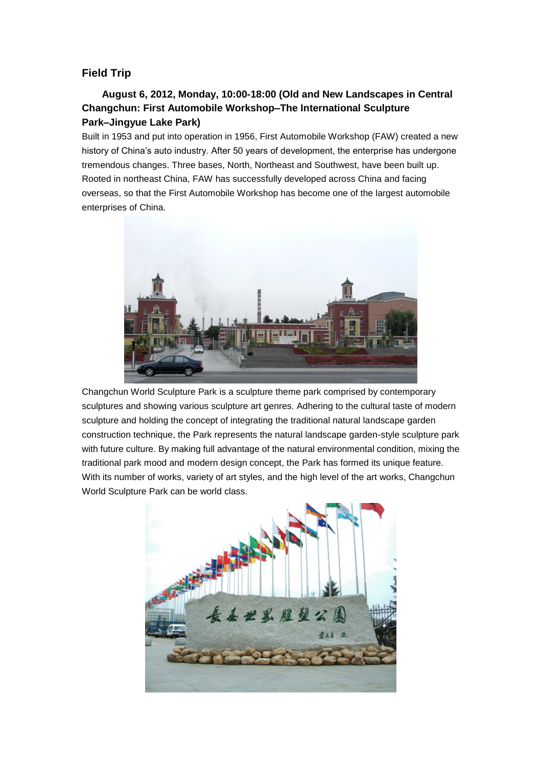#### **Field Trip**

#### **August 6, 2012, Monday, 10:00-18:00 (Old and New Landscapes in Central Changchun: First Automobile Workshop–The International Sculpture Park–Jingyue Lake Park)**

Built in 1953 and put into operation in 1956, First Automobile Workshop (FAW) created a new history of China"s auto industry. After 50 years of development, the enterprise has undergone tremendous changes. Three bases, North, Northeast and Southwest, have been built up. Rooted in northeast China, FAW has successfully developed across China and facing overseas, so that the First Automobile Workshop has become one of the largest automobile enterprises of China.



Changchun World Sculpture Park is a sculpture theme park comprised by contemporary sculptures and showing various sculpture art genres. Adhering to the cultural taste of modern sculpture and holding the concept of integrating the traditional natural landscape garden construction technique, the Park represents the natural landscape garden-style sculpture park with future culture. By making full advantage of the natural environmental condition, mixing the traditional park mood and modern design concept, the Park has formed its unique feature. With its number of works, variety of art styles, and the high level of the art works, Changchun World Sculpture Park can be world class.

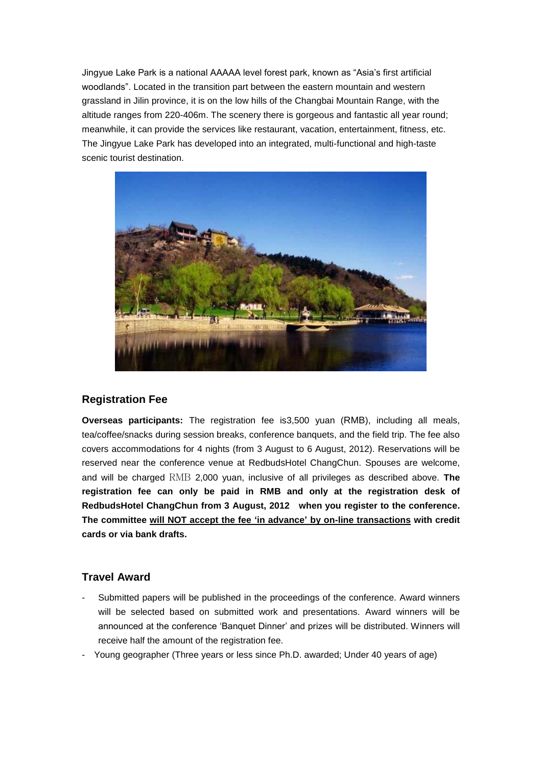Jingyue Lake Park is a national AAAAA level forest park, known as "Asia"s first artificial woodlands". Located in the transition part between the eastern mountain and western grassland in Jilin province, it is on the low hills of the Changbai Mountain Range, with the altitude ranges from 220-406m. The scenery there is gorgeous and fantastic all year round; meanwhile, it can provide the services like restaurant, vacation, entertainment, fitness, etc. The Jingyue Lake Park has developed into an integrated, multi-functional and high-taste scenic tourist destination.



#### **Registration Fee**

**Overseas participants:** The registration fee is3,500 yuan (RMB), including all meals, tea/coffee/snacks during session breaks, conference banquets, and the field trip. The fee also covers accommodations for 4 nights (from 3 August to 6 August, 2012). Reservations will be reserved near the conference venue at RedbudsHotel ChangChun. Spouses are welcome, and will be charged RMB 2,000 yuan, inclusive of all privileges as described above. **The registration fee can only be paid in RMB and only at the registration desk of RedbudsHotel ChangChun from 3 August, 2012 when you register to the conference. The committee will NOT accept the fee "in advance" by on-line transactions with credit cards or via bank drafts.**

#### **Travel Award**

- Submitted papers will be published in the proceedings of the conference. Award winners will be selected based on submitted work and presentations. Award winners will be announced at the conference "Banquet Dinner" and prizes will be distributed. Winners will receive half the amount of the registration fee.
- Young geographer (Three years or less since Ph.D. awarded; Under 40 years of age)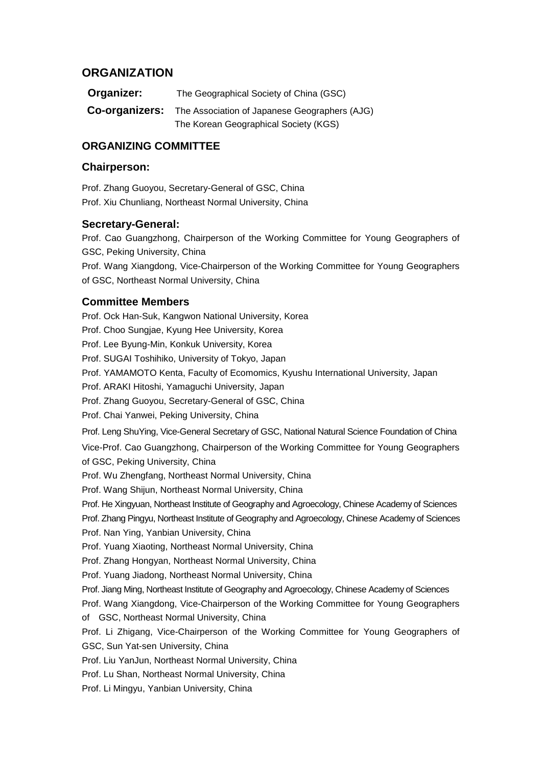#### **ORGANIZATION**

| Organizer:     | The Geographical Society of China (GSC)       |
|----------------|-----------------------------------------------|
| Co-organizers: | The Association of Japanese Geographers (AJG) |
|                | The Korean Geographical Society (KGS)         |

#### **ORGANIZING COMMITTEE**

#### **Chairperson:**

Prof. Zhang Guoyou, Secretary-General of GSC, China Prof. Xiu Chunliang, Northeast Normal University, China

#### **Secretary-General:**

Prof. Cao Guangzhong, Chairperson of the Working Committee for Young Geographers of GSC, Peking University, China

Prof. Wang Xiangdong, Vice-Chairperson of the Working Committee for Young Geographers of GSC, Northeast Normal University, China

#### **Committee Members**

Prof. Ock Han-Suk, Kangwon National University, Korea Prof. Choo Sungjae, Kyung Hee University, Korea Prof. Lee Byung-Min, Konkuk University, Korea Prof. SUGAI Toshihiko, University of Tokyo, Japan Prof. YAMAMOTO Kenta, Faculty of Ecomomics, Kyushu International University, Japan Prof. ARAKI Hitoshi, Yamaguchi University, Japan Prof. Zhang Guoyou, Secretary-General of GSC, China Prof. Chai Yanwei, Peking University, China Prof. Leng ShuYing, Vice-General Secretary of GSC, National Natural Science Foundation of China Vice-Prof. Cao Guangzhong, Chairperson of the Working Committee for Young Geographers of GSC, Peking University, China Prof. Wu Zhengfang, Northeast Normal University, China Prof. Wang Shijun, Northeast Normal University, China Prof. He Xingyuan, Northeast Institute of Geography and Agroecology, Chinese Academy of Sciences Prof. Zhang Pingyu, Northeast Institute of Geography and Agroecology, Chinese Academy of Sciences Prof. Nan Ying, Yanbian University, China Prof. Yuang Xiaoting, Northeast Normal University, China Prof. Zhang Hongyan, Northeast Normal University, China Prof. Yuang Jiadong, Northeast Normal University, China Prof. Jiang Ming, Northeast Institute of Geography and Agroecology, Chinese Academy of Sciences Prof. Wang Xiangdong, Vice-Chairperson of the Working Committee for Young Geographers of GSC, Northeast Normal University, China Prof. Li Zhigang, Vice-Chairperson of the Working Committee for Young Geographers of GSC, Sun Yat-sen University, China Prof. Liu YanJun, Northeast Normal University, China Prof. Lu Shan, Northeast Normal University, China Prof. Li Mingyu, Yanbian University, China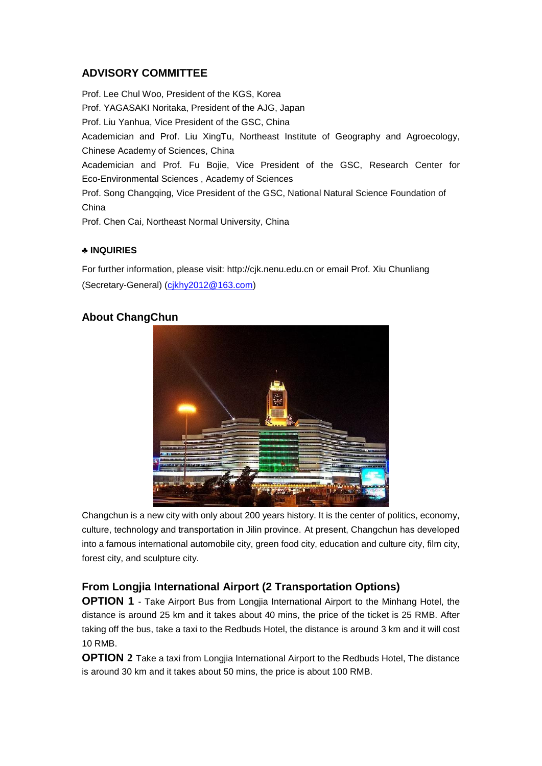#### **ADVISORY COMMITTEE**

Prof. Lee Chul Woo, President of the KGS, Korea Prof. YAGASAKI Noritaka, President of the AJG, Japan Prof. Liu Yanhua, Vice President of the GSC, China Academician and Prof. Liu XingTu, Northeast Institute of Geography and Agroecology, Chinese Academy of Sciences, China Academician and Prof. Fu Bojie, Vice President of the GSC, Research Center for Eco-Environmental Sciences , Academy of Sciences Prof. Song Changqing, Vice President of the GSC, National Natural Science Foundation of China Prof. Chen Cai, Northeast Normal University, China

#### **♣ INQUIRIES**

For further information, please visit: http://cjk.nenu.edu.cn or email Prof. Xiu Chunliang (Secretary-General) [\(cjkhy2012@163.com\)](mailto:cjkhy2012@163.com)

#### **About ChangChun**



Changchun is a new city with only about 200 years history. It is the center of politics, economy, culture, technology and transportation in Jilin province. At present, Changchun has developed into a famous international automobile city, green food city, education and culture city, film city, forest city, and sculpture city.

#### **From Longjia International Airport (2 Transportation Options)**

**OPTION 1** - Take Airport Bus from Longjia International Airport to the Minhang Hotel, the distance is around 25 km and it takes about 40 mins, the price of the ticket is 25 RMB. After taking off the bus, take a taxi to the Redbuds Hotel, the distance is around 3 km and it will cost 10 RMB.

**OPTION** 2 Take a taxi from Longjia International Airport to the Redbuds Hotel, The distance is around 30 km and it takes about 50 mins, the price is about 100 RMB.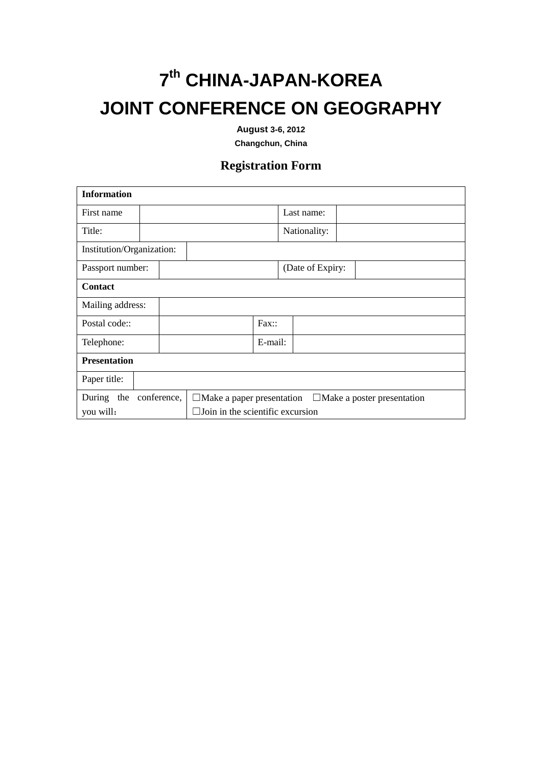## **7 th CHINA-JAPAN-KOREA JOINT CONFERENCE ON GEOGRAPHY**

**August 3-6, 2012**

**Changchun, China**

### **Registration Form**

| <b>Information</b>        |  |                                                                       |         |                  |  |  |
|---------------------------|--|-----------------------------------------------------------------------|---------|------------------|--|--|
| First name                |  |                                                                       |         | Last name:       |  |  |
| Title:                    |  |                                                                       |         | Nationality:     |  |  |
| Institution/Organization: |  |                                                                       |         |                  |  |  |
| Passport number:          |  |                                                                       |         | (Date of Expiry: |  |  |
| <b>Contact</b>            |  |                                                                       |         |                  |  |  |
| Mailing address:          |  |                                                                       |         |                  |  |  |
| Postal code::             |  |                                                                       | Fax:    |                  |  |  |
| Telephone:                |  |                                                                       | E-mail: |                  |  |  |
| <b>Presentation</b>       |  |                                                                       |         |                  |  |  |
| Paper title:              |  |                                                                       |         |                  |  |  |
| During the conference,    |  | $\Box$ Make a paper presentation<br>$\Box$ Make a poster presentation |         |                  |  |  |
| you will:                 |  | $\Box$ Join in the scientific excursion                               |         |                  |  |  |